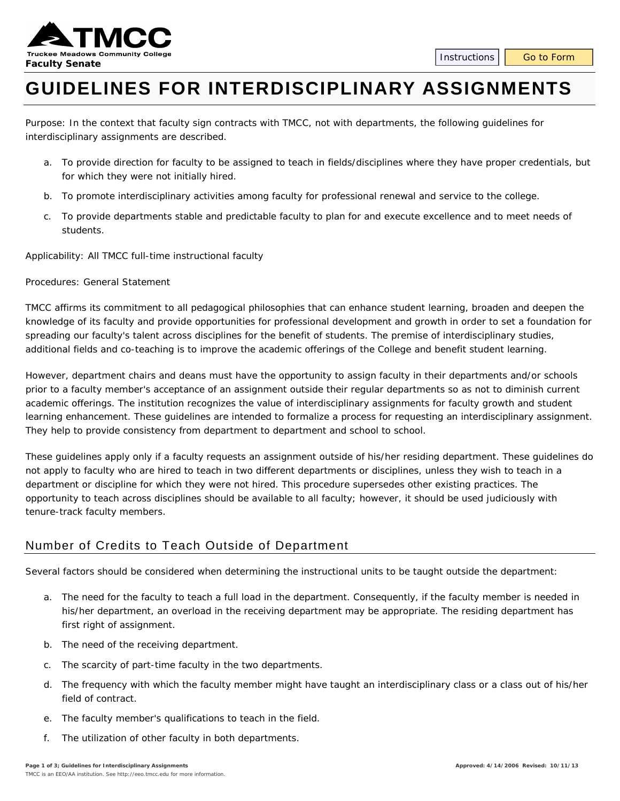

# **GUIDELINES FOR INTERDISCIPLINARY ASSIGNMENTS**

*Purpose:* In the context that faculty sign contracts with TMCC, not with departments, the following guidelines for interdisciplinary assignments are described.

- a. To provide direction for faculty to be assigned to teach in fields/disciplines where they have proper credentials, but for which they were not initially hired.
- b. To promote interdisciplinary activities among faculty for professional renewal and service to the college.
- c. To provide departments stable and predictable faculty to plan for and execute excellence and to meet needs of students.

*Applicability:* All TMCC full-time instructional faculty

#### *Procedures:* General Statement

TMCC affirms its commitment to all pedagogical philosophies that can enhance student learning, broaden and deepen the knowledge of its faculty and provide opportunities for professional development and growth in order to set a foundation for spreading our faculty's talent across disciplines for the benefit of students. The premise of interdisciplinary studies, additional fields and co-teaching is to improve the academic offerings of the College and benefit student learning.

However, department chairs and deans must have the opportunity to assign faculty in their departments and/or schools prior to a faculty member's acceptance of an assignment outside their regular departments so as not to diminish current academic offerings. The institution recognizes the value of interdisciplinary assignments for faculty growth and student learning enhancement. These guidelines are intended to formalize a process for requesting an interdisciplinary assignment. They help to provide consistency from department to department and school to school.

These guidelines apply only if a faculty requests an assignment outside of his/her residing department. These guidelines do not apply to faculty who are hired to teach in two different departments or disciplines, unless they wish to teach in a department or discipline for which they were not hired. This procedure supersedes other existing practices. The opportunity to teach across disciplines should be available to all faculty; however, it should be used judiciously with tenure-track faculty members.

## Number of Credits to Teach Outside of Department

Several factors should be considered when determining the instructional units to be taught outside the department:

- a. The need for the faculty to teach a full load in the department. Consequently, if the faculty member is needed in his/her department, an overload in the receiving department may be appropriate. The residing department has first right of assignment.
- b. The need of the receiving department.
- c. The scarcity of part-time faculty in the two departments.
- d. The frequency with which the faculty member might have taught an interdisciplinary class or a class out of his/her field of contract.
- e. The faculty member's qualifications to teach in the field.
- f. The utilization of other faculty in both departments.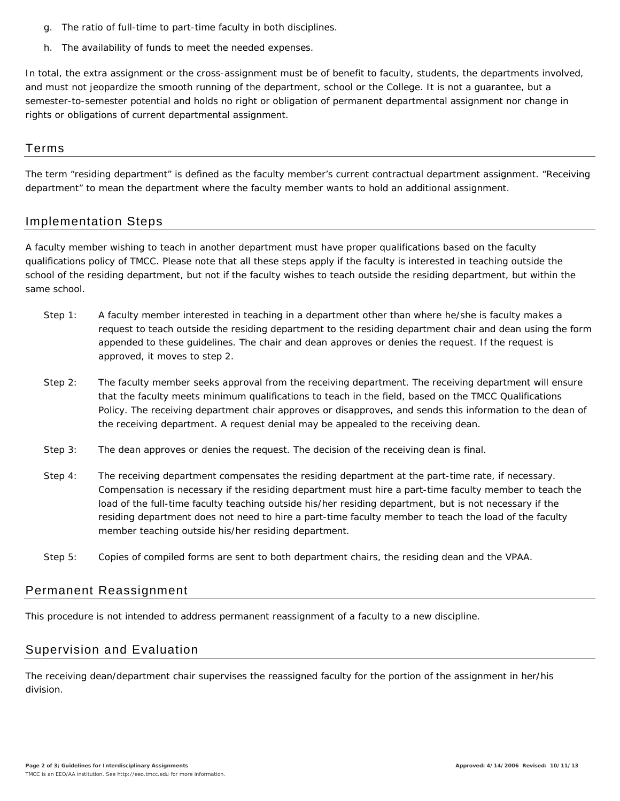- g. The ratio of full-time to part-time faculty in both disciplines.
- h. The availability of funds to meet the needed expenses.

In total, the extra assignment or the cross-assignment must be of benefit to faculty, students, the departments involved, and must not jeopardize the smooth running of the department, school or the College. It is not a guarantee, but a semester-to-semester potential and holds no right or obligation of permanent departmental assignment nor change in rights or obligations of current departmental assignment.

### Terms

The term "residing department" is defined as the faculty member's current contractual department assignment. "Receiving department" to mean the department where the faculty member wants to hold an additional assignment.

#### Implementation Steps

A faculty member wishing to teach in another department must have proper qualifications based on the faculty qualifications policy of TMCC. Please note that all these steps apply if the faculty is interested in teaching outside the school of the residing department, but not if the faculty wishes to teach outside the residing department, but within the same school.

- Step 1: A faculty member interested in teaching in a department other than where he/she is faculty makes a request to teach outside the residing department to the residing department chair and dean using the form appended to these guidelines. The chair and dean approves or denies the request. If the request is approved, it moves to step 2.
- Step 2: The faculty member seeks approval from the receiving department. The receiving department will ensure that the faculty meets minimum qualifications to teach in the field, based on the TMCC Qualifications Policy. The receiving department chair approves or disapproves, and sends this information to the dean of the receiving department. A request denial may be appealed to the receiving dean.
- Step 3: The dean approves or denies the request. The decision of the receiving dean is final.
- Step 4: The receiving department compensates the residing department at the part-time rate, if necessary. Compensation is necessary if the residing department must hire a part-time faculty member to teach the load of the full-time faculty teaching outside his/her residing department, but is not necessary if the residing department does not need to hire a part-time faculty member to teach the load of the faculty member teaching outside his/her residing department.
- Step 5: Copies of compiled forms are sent to both department chairs, the residing dean and the VPAA.

#### Permanent Reassignment

This procedure is not intended to address permanent reassignment of a faculty to a new discipline.

### Supervision and Evaluation

The receiving dean/department chair supervises the reassigned faculty for the portion of the assignment in her/his division.